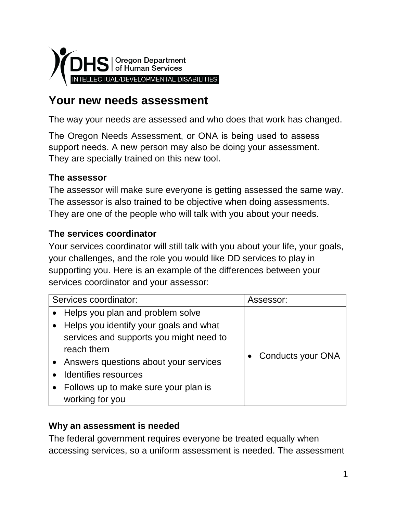

# **Your new needs assessment**

The way your needs are assessed and who does that work has changed.

The Oregon Needs Assessment, or ONA is being used to assess support needs. A new person may also be doing your assessment. They are specially trained on this new tool.

### **The assessor**

The assessor will make sure everyone is getting assessed the same way. The assessor is also trained to be objective when doing assessments. They are one of the people who will talk with you about your needs.

### **The services coordinator**

Your services coordinator will still talk with you about your life, your goals, your challenges, and the role you would like DD services to play in supporting you. Here is an example of the differences between your services coordinator and your assessor:

| Services coordinator: |                                         | Assessor:                |
|-----------------------|-----------------------------------------|--------------------------|
|                       | Helps you plan and problem solve        |                          |
|                       | Helps you identify your goals and what  |                          |
|                       | services and supports you might need to |                          |
|                       | reach them                              |                          |
|                       | Answers questions about your services   | <b>Conducts your ONA</b> |
|                       | Identifies resources                    |                          |
|                       | Follows up to make sure your plan is    |                          |
|                       | working for you                         |                          |

#### **Why an assessment is needed**

The federal government requires everyone be treated equally when accessing services, so a uniform assessment is needed. The assessment